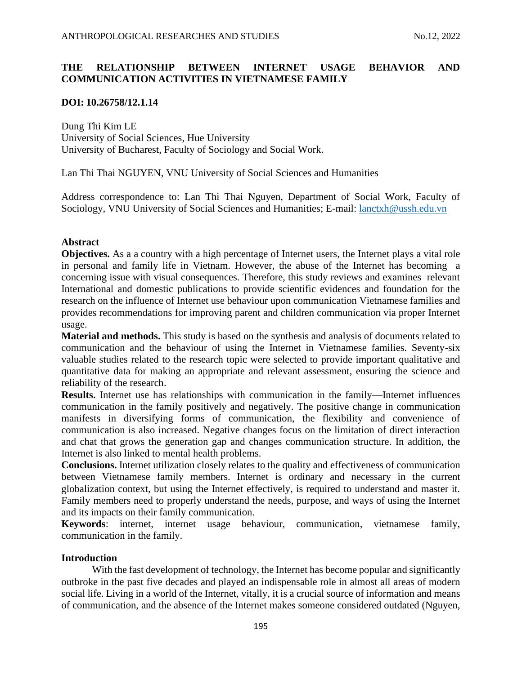# **THE RELATIONSHIP BETWEEN INTERNET USAGE BEHAVIOR AND COMMUNICATION ACTIVITIES IN VIETNAMESE FAMILY**

## **DOI: 10.26758/12.1.14**

Dung Thi Kim LE University of Social Sciences, Hue University University of Bucharest, Faculty of Sociology and Social Work.

Lan Thi Thai NGUYEN, VNU University of Social Sciences and Humanities

Address correspondence to: Lan Thi Thai Nguyen, Department of Social Work, Faculty of Sociology, VNU University of Social Sciences and Humanities; E-mail:<lanctxh@ussh.edu.vn>

## **Abstract**

**Objectives.** As a a country with a high percentage of Internet users, the Internet plays a vital role in personal and family life in Vietnam. However, the abuse of the Internet has becoming a concerning issue with visual consequences. Therefore, this study reviews and examines relevant International and domestic publications to provide scientific evidences and foundation for the research on the influence of Internet use behaviour upon communication Vietnamese families and provides recommendations for improving parent and children communication via proper Internet usage.

**Material and methods.** This study is based on the synthesis and analysis of documents related to communication and the behaviour of using the Internet in Vietnamese families. Seventy-six valuable studies related to the research topic were selected to provide important qualitative and quantitative data for making an appropriate and relevant assessment, ensuring the science and reliability of the research.

**Results.** Internet use has relationships with communication in the family—Internet influences communication in the family positively and negatively. The positive change in communication manifests in diversifying forms of communication, the flexibility and convenience of communication is also increased. Negative changes focus on the limitation of direct interaction and chat that grows the generation gap and changes communication structure. In addition, the Internet is also linked to mental health problems.

**Conclusions.** Internet utilization closely relates to the quality and effectiveness of communication between Vietnamese family members. Internet is ordinary and necessary in the current globalization context, but using the Internet effectively, is required to understand and master it. Family members need to properly understand the needs, purpose, and ways of using the Internet and its impacts on their family communication.

**Keywords**: internet, internet usage behaviour, communication, vietnamese family, communication in the family.

## **Introduction**

With the fast development of technology, the Internet has become popular and significantly outbroke in the past five decades and played an indispensable role in almost all areas of modern social life. Living in a world of the Internet, vitally, it is a crucial source of information and means of communication, and the absence of the Internet makes someone considered outdated (Nguyen,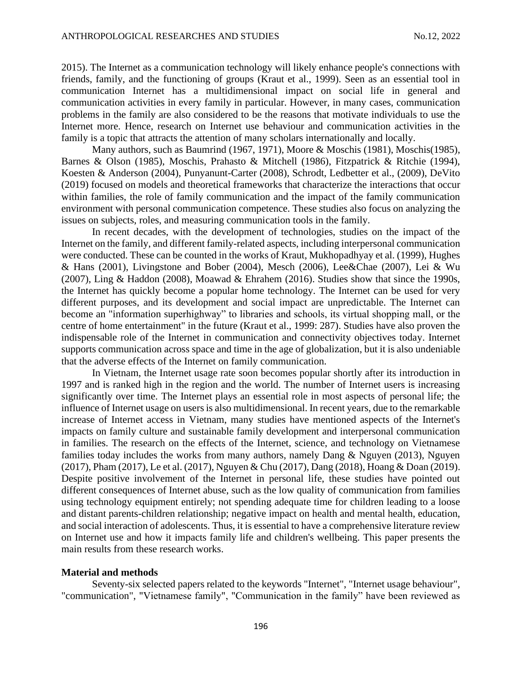2015). The Internet as a communication technology will likely enhance people's connections with friends, family, and the functioning of groups (Kraut et al., 1999). Seen as an essential tool in communication Internet has a multidimensional impact on social life in general and communication activities in every family in particular. However, in many cases, communication problems in the family are also considered to be the reasons that motivate individuals to use the Internet more. Hence, research on Internet use behaviour and communication activities in the family is a topic that attracts the attention of many scholars internationally and locally.

Many authors, such as Baumrind (1967, 1971), Moore & Moschis (1981), Moschis(1985), Barnes & Olson (1985), Moschis, Prahasto & Mitchell (1986), Fitzpatrick & Ritchie (1994), Koesten & Anderson (2004), Punyanunt-Carter (2008), Schrodt, Ledbetter et al., (2009), DeVito (2019) focused on models and theoretical frameworks that characterize the interactions that occur within families, the role of family communication and the impact of the family communication environment with personal communication competence. These studies also focus on analyzing the issues on subjects, roles, and measuring communication tools in the family.

In recent decades, with the development of technologies, studies on the impact of the Internet on the family, and different family-related aspects, including interpersonal communication were conducted. These can be counted in the works of Kraut, Mukhopadhyay et al. (1999), Hughes & Hans (2001), Livingstone and Bober (2004), Mesch (2006), Lee&Chae (2007), Lei & Wu (2007), Ling & Haddon (2008), Moawad & Ehrahem (2016). Studies show that since the 1990s, the Internet has quickly become a popular home technology. The Internet can be used for very different purposes, and its development and social impact are unpredictable. The Internet can become an "information superhighway" to libraries and schools, its virtual shopping mall, or the centre of home entertainment" in the future (Kraut et al., 1999: 287). Studies have also proven the indispensable role of the Internet in communication and connectivity objectives today. Internet supports communication across space and time in the age of globalization, but it is also undeniable that the adverse effects of the Internet on family communication.

In Vietnam, the Internet usage rate soon becomes popular shortly after its introduction in 1997 and is ranked high in the region and the world. The number of Internet users is increasing significantly over time. The Internet plays an essential role in most aspects of personal life; the influence of Internet usage on users is also multidimensional. In recent years, due to the remarkable increase of Internet access in Vietnam, many studies have mentioned aspects of the Internet's impacts on family culture and sustainable family development and interpersonal communication in families. The research on the effects of the Internet, science, and technology on Vietnamese families today includes the works from many authors, namely Dang & Nguyen (2013), Nguyen (2017), Pham (2017), Le et al. (2017), Nguyen & Chu (2017), Dang (2018), Hoang & Doan (2019). Despite positive involvement of the Internet in personal life, these studies have pointed out different consequences of Internet abuse, such as the low quality of communication from families using technology equipment entirely; not spending adequate time for children leading to a loose and distant parents-children relationship; negative impact on health and mental health, education, and social interaction of adolescents. Thus, it is essential to have a comprehensive literature review on Internet use and how it impacts family life and children's wellbeing. This paper presents the main results from these research works.

### **Material and methods**

Seventy-six selected papers related to the keywords "Internet", "Internet usage behaviour", "communication", "Vietnamese family", "Communication in the family" have been reviewed as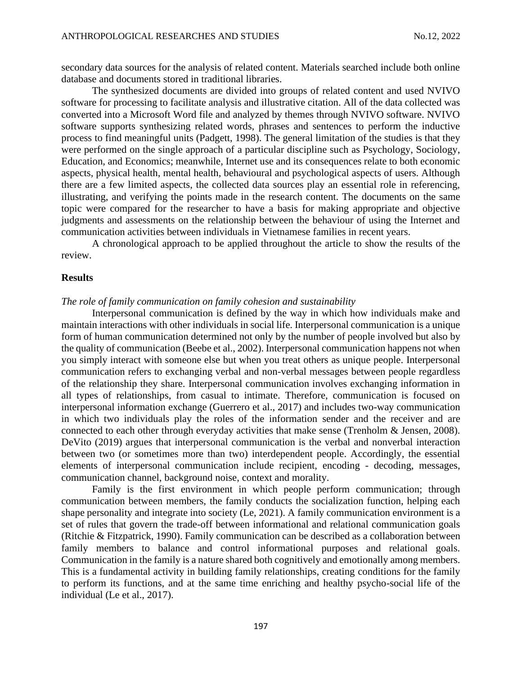secondary data sources for the analysis of related content. Materials searched include both online database and documents stored in traditional libraries.

The synthesized documents are divided into groups of related content and used NVIVO software for processing to facilitate analysis and illustrative citation. All of the data collected was converted into a Microsoft Word file and analyzed by themes through NVIVO software. NVIVO software supports synthesizing related words, phrases and sentences to perform the inductive process to find meaningful units (Padgett, 1998). The general limitation of the studies is that they were performed on the single approach of a particular discipline such as Psychology, Sociology, Education, and Economics; meanwhile, Internet use and its consequences relate to both economic aspects, physical health, mental health, behavioural and psychological aspects of users. Although there are a few limited aspects, the collected data sources play an essential role in referencing, illustrating, and verifying the points made in the research content. The documents on the same topic were compared for the researcher to have a basis for making appropriate and objective judgments and assessments on the relationship between the behaviour of using the Internet and communication activities between individuals in Vietnamese families in recent years.

A chronological approach to be applied throughout the article to show the results of the review.

### **Results**

#### *The role of family communication on family cohesion and sustainability*

Interpersonal communication is defined by the way in which how individuals make and maintain interactions with other individuals in social life. Interpersonal communication is a unique form of human communication determined not only by the number of people involved but also by the quality of communication (Beebe et al., 2002). Interpersonal communication happens not when you simply interact with someone else but when you treat others as unique people. Interpersonal communication refers to exchanging verbal and non-verbal messages between people regardless of the relationship they share. Interpersonal communication involves exchanging information in all types of relationships, from casual to intimate. Therefore, communication is focused on interpersonal information exchange (Guerrero et al., 2017) and includes two-way communication in which two individuals play the roles of the information sender and the receiver and are connected to each other through everyday activities that make sense (Trenholm & Jensen, 2008). DeVito (2019) argues that interpersonal communication is the verbal and nonverbal interaction between two (or sometimes more than two) interdependent people. Accordingly, the essential elements of interpersonal communication include recipient, encoding - decoding, messages, communication channel, background noise, context and morality.

Family is the first environment in which people perform communication; through communication between members, the family conducts the socialization function, helping each shape personality and integrate into society (Le, 2021). A family communication environment is a set of rules that govern the trade-off between informational and relational communication goals (Ritchie & Fitzpatrick, 1990). Family communication can be described as a collaboration between family members to balance and control informational purposes and relational goals. Communication in the family is a nature shared both cognitively and emotionally among members. This is a fundamental activity in building family relationships, creating conditions for the family to perform its functions, and at the same time enriching and healthy psycho-social life of the individual (Le et al., 2017).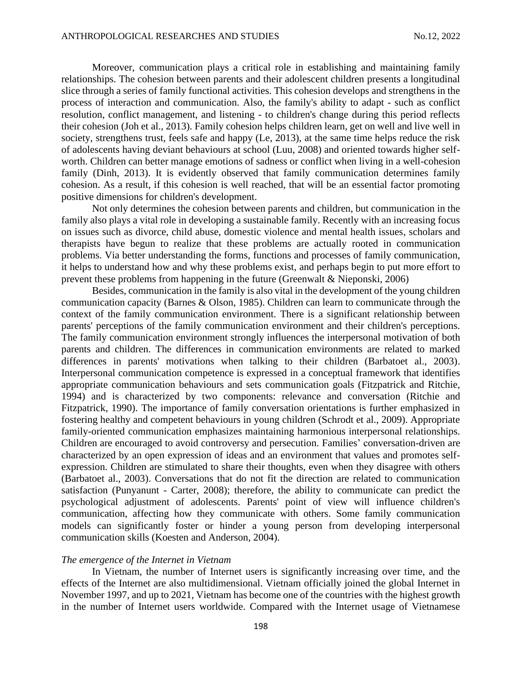Moreover, communication plays a critical role in establishing and maintaining family relationships. The cohesion between parents and their adolescent children presents a longitudinal slice through a series of family functional activities. This cohesion develops and strengthens in the process of interaction and communication. Also, the family's ability to adapt - such as conflict resolution, conflict management, and listening - to children's change during this period reflects their cohesion (Joh et al., 2013). Family cohesion helps children learn, get on well and live well in society, strengthens trust, feels safe and happy (Le, 2013), at the same time helps reduce the risk of adolescents having deviant behaviours at school (Luu, 2008) and oriented towards higher selfworth. Children can better manage emotions of sadness or conflict when living in a well-cohesion family (Dinh, 2013). It is evidently observed that family communication determines family cohesion. As a result, if this cohesion is well reached, that will be an essential factor promoting positive dimensions for children's development.

Not only determines the cohesion between parents and children, but communication in the family also plays a vital role in developing a sustainable family. Recently with an increasing focus on issues such as divorce, child abuse, domestic violence and mental health issues, scholars and therapists have begun to realize that these problems are actually rooted in communication problems. Via better understanding the forms, functions and processes of family communication, it helps to understand how and why these problems exist, and perhaps begin to put more effort to prevent these problems from happening in the future (Greenwalt & Nieponski, 2006)

Besides, communication in the family is also vital in the development of the young children communication capacity (Barnes & Olson, 1985). Children can learn to communicate through the context of the family communication environment. There is a significant relationship between parents' perceptions of the family communication environment and their children's perceptions. The family communication environment strongly influences the interpersonal motivation of both parents and children. The differences in communication environments are related to marked differences in parents' motivations when talking to their children (Barbatoet al., 2003). Interpersonal communication competence is expressed in a conceptual framework that identifies appropriate communication behaviours and sets communication goals (Fitzpatrick and Ritchie, 1994) and is characterized by two components: relevance and conversation (Ritchie and Fitzpatrick, 1990). The importance of family conversation orientations is further emphasized in fostering healthy and competent behaviours in young children (Schrodt et al., 2009). Appropriate family-oriented communication emphasizes maintaining harmonious interpersonal relationships. Children are encouraged to avoid controversy and persecution. Families' conversation-driven are characterized by an open expression of ideas and an environment that values and promotes selfexpression. Children are stimulated to share their thoughts, even when they disagree with others (Barbatoet al., 2003). Conversations that do not fit the direction are related to communication satisfaction (Punyanunt - Carter, 2008); therefore, the ability to communicate can predict the psychological adjustment of adolescents. Parents' point of view will influence children's communication, affecting how they communicate with others. Some family communication models can significantly foster or hinder a young person from developing interpersonal communication skills (Koesten and Anderson, 2004).

## *The emergence of the Internet in Vietnam*

In Vietnam, the number of Internet users is significantly increasing over time, and the effects of the Internet are also multidimensional. Vietnam officially joined the global Internet in November 1997, and up to 2021, Vietnam has become one of the countries with the highest growth in the number of Internet users worldwide. Compared with the Internet usage of Vietnamese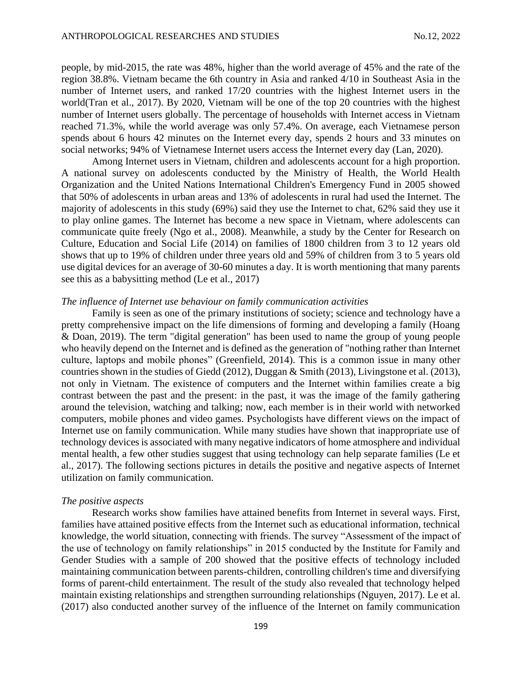people, by mid-2015, the rate was 48%, higher than the world average of 45% and the rate of the region 38.8%. Vietnam became the 6th country in Asia and ranked 4/10 in Southeast Asia in the number of Internet users, and ranked 17/20 countries with the highest Internet users in the world(Tran et al., 2017). By 2020, Vietnam will be one of the top 20 countries with the highest number of Internet users globally. The percentage of households with Internet access in Vietnam reached 71.3%, while the world average was only 57.4%. On average, each Vietnamese person spends about 6 hours 42 minutes on the Internet every day, spends 2 hours and 33 minutes on social networks; 94% of Vietnamese Internet users access the Internet every day (Lan, 2020).

Among Internet users in Vietnam, children and adolescents account for a high proportion. A national survey on adolescents conducted by the Ministry of Health, the World Health Organization and the United Nations International Children's Emergency Fund in 2005 showed that 50% of adolescents in urban areas and 13% of adolescents in rural had used the Internet. The majority of adolescents in this study (69%) said they use the Internet to chat, 62% said they use it to play online games. The Internet has become a new space in Vietnam, where adolescents can communicate quite freely (Ngo et al., 2008). Meanwhile, a study by the Center for Research on Culture, Education and Social Life (2014) on families of 1800 children from 3 to 12 years old shows that up to 19% of children under three years old and 59% of children from 3 to 5 years old use digital devices for an average of 30-60 minutes a day. It is worth mentioning that many parents see this as a babysitting method (Le et al., 2017)

## *The influence of Internet use behaviour on family communication activities*

Family is seen as one of the primary institutions of society; science and technology have a pretty comprehensive impact on the life dimensions of forming and developing a family (Hoang & Doan, 2019). The term "digital generation" has been used to name the group of young people who heavily depend on the Internet and is defined as the generation of "nothing rather than Internet culture, laptops and mobile phones" (Greenfield, 2014). This is a common issue in many other countries shown in the studies of Giedd (2012), Duggan & Smith (2013), Livingstone et al. (2013), not only in Vietnam. The existence of computers and the Internet within families create a big contrast between the past and the present: in the past, it was the image of the family gathering around the television, watching and talking; now, each member is in their world with networked computers, mobile phones and video games. Psychologists have different views on the impact of Internet use on family communication. While many studies have shown that inappropriate use of technology devices is associated with many negative indicators of home atmosphere and individual mental health, a few other studies suggest that using technology can help separate families (Le et al., 2017). The following sections pictures in details the positive and negative aspects of Internet utilization on family communication.

### *The positive aspects*

Research works show families have attained benefits from Internet in several ways. First, families have attained positive effects from the Internet such as educational information, technical knowledge, the world situation, connecting with friends. The survey "Assessment of the impact of the use of technology on family relationships" in 2015 conducted by the Institute for Family and Gender Studies with a sample of 200 showed that the positive effects of technology included maintaining communication between parents-children, controlling children's time and diversifying forms of parent-child entertainment. The result of the study also revealed that technology helped maintain existing relationships and strengthen surrounding relationships (Nguyen, 2017). Le et al. (2017) also conducted another survey of the influence of the Internet on family communication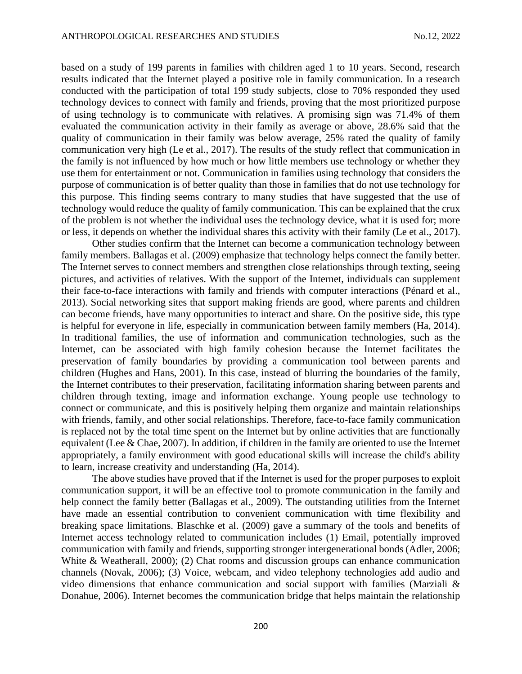based on a study of 199 parents in families with children aged 1 to 10 years. Second, research results indicated that the Internet played a positive role in family communication. In a research conducted with the participation of total 199 study subjects, close to 70% responded they used technology devices to connect with family and friends, proving that the most prioritized purpose of using technology is to communicate with relatives. A promising sign was 71.4% of them evaluated the communication activity in their family as average or above, 28.6% said that the quality of communication in their family was below average, 25% rated the quality of family communication very high (Le et al., 2017). The results of the study reflect that communication in the family is not influenced by how much or how little members use technology or whether they use them for entertainment or not. Communication in families using technology that considers the purpose of communication is of better quality than those in families that do not use technology for this purpose. This finding seems contrary to many studies that have suggested that the use of technology would reduce the quality of family communication. This can be explained that the crux of the problem is not whether the individual uses the technology device, what it is used for; more or less, it depends on whether the individual shares this activity with their family (Le et al., 2017).

Other studies confirm that the Internet can become a communication technology between family members. Ballagas et al. (2009) emphasize that technology helps connect the family better. The Internet serves to connect members and strengthen close relationships through texting, seeing pictures, and activities of relatives. With the support of the Internet, individuals can supplement their face-to-face interactions with family and friends with computer interactions (Pénard et al., 2013). Social networking sites that support making friends are good, where parents and children can become friends, have many opportunities to interact and share. On the positive side, this type is helpful for everyone in life, especially in communication between family members (Ha, 2014). In traditional families, the use of information and communication technologies, such as the Internet, can be associated with high family cohesion because the Internet facilitates the preservation of family boundaries by providing a communication tool between parents and children (Hughes and Hans, 2001). In this case, instead of blurring the boundaries of the family, the Internet contributes to their preservation, facilitating information sharing between parents and children through texting, image and information exchange. Young people use technology to connect or communicate, and this is positively helping them organize and maintain relationships with friends, family, and other social relationships. Therefore, face-to-face family communication is replaced not by the total time spent on the Internet but by online activities that are functionally equivalent (Lee & Chae, 2007). In addition, if children in the family are oriented to use the Internet appropriately, a family environment with good educational skills will increase the child's ability to learn, increase creativity and understanding (Ha, 2014).

The above studies have proved that if the Internet is used for the proper purposes to exploit communication support, it will be an effective tool to promote communication in the family and help connect the family better (Ballagas et al., 2009). The outstanding utilities from the Internet have made an essential contribution to convenient communication with time flexibility and breaking space limitations. Blaschke et al. (2009) gave a summary of the tools and benefits of Internet access technology related to communication includes (1) Email, potentially improved communication with family and friends, supporting stronger intergenerational bonds (Adler, 2006; White & Weatherall, 2000); (2) Chat rooms and discussion groups can enhance communication channels (Novak, 2006); (3) Voice, webcam, and video telephony technologies add audio and video dimensions that enhance communication and social support with families (Marziali & Donahue, 2006). Internet becomes the communication bridge that helps maintain the relationship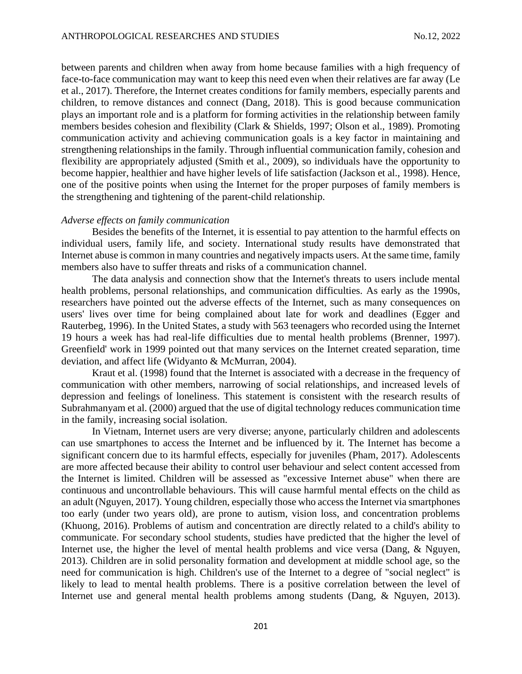between parents and children when away from home because families with a high frequency of face-to-face communication may want to keep this need even when their relatives are far away (Le et al., 2017). Therefore, the Internet creates conditions for family members, especially parents and children, to remove distances and connect (Dang, 2018). This is good because communication plays an important role and is a platform for forming activities in the relationship between family members besides cohesion and flexibility (Clark & Shields, 1997; Olson et al., 1989). Promoting communication activity and achieving communication goals is a key factor in maintaining and strengthening relationships in the family. Through influential communication family, cohesion and flexibility are appropriately adjusted (Smith et al., 2009), so individuals have the opportunity to become happier, healthier and have higher levels of life satisfaction (Jackson et al., 1998). Hence, one of the positive points when using the Internet for the proper purposes of family members is the strengthening and tightening of the parent-child relationship.

### *Adverse effects on family communication*

Besides the benefits of the Internet, it is essential to pay attention to the harmful effects on individual users, family life, and society. International study results have demonstrated that Internet abuse is common in many countries and negatively impacts users. At the same time, family members also have to suffer threats and risks of a communication channel.

The data analysis and connection show that the Internet's threats to users include mental health problems, personal relationships, and communication difficulties. As early as the 1990s, researchers have pointed out the adverse effects of the Internet, such as many consequences on users' lives over time for being complained about late for work and deadlines (Egger and Rauterbeg, 1996). In the United States, a study with 563 teenagers who recorded using the Internet 19 hours a week has had real-life difficulties due to mental health problems (Brenner, 1997). Greenfield' work in 1999 pointed out that many services on the Internet created separation, time deviation, and affect life (Widyanto & McMurran, 2004).

Kraut et al. (1998) found that the Internet is associated with a decrease in the frequency of communication with other members, narrowing of social relationships, and increased levels of depression and feelings of loneliness. This statement is consistent with the research results of Subrahmanyam et al. (2000) argued that the use of digital technology reduces communication time in the family, increasing social isolation.

In Vietnam, Internet users are very diverse; anyone, particularly children and adolescents can use smartphones to access the Internet and be influenced by it. The Internet has become a significant concern due to its harmful effects, especially for juveniles (Pham, 2017). Adolescents are more affected because their ability to control user behaviour and select content accessed from the Internet is limited. Children will be assessed as "excessive Internet abuse" when there are continuous and uncontrollable behaviours. This will cause harmful mental effects on the child as an adult (Nguyen, 2017). Young children, especially those who access the Internet via smartphones too early (under two years old), are prone to autism, vision loss, and concentration problems (Khuong, 2016). Problems of autism and concentration are directly related to a child's ability to communicate. For secondary school students, studies have predicted that the higher the level of Internet use, the higher the level of mental health problems and vice versa (Dang, & Nguyen, 2013). Children are in solid personality formation and development at middle school age, so the need for communication is high. Children's use of the Internet to a degree of "social neglect" is likely to lead to mental health problems. There is a positive correlation between the level of Internet use and general mental health problems among students (Dang, & Nguyen, 2013).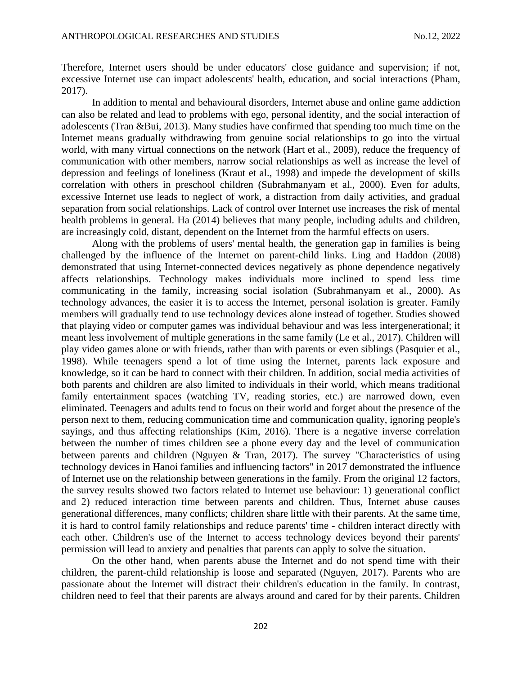Therefore, Internet users should be under educators' close guidance and supervision; if not, excessive Internet use can impact adolescents' health, education, and social interactions (Pham, 2017).

In addition to mental and behavioural disorders, Internet abuse and online game addiction can also be related and lead to problems with ego, personal identity, and the social interaction of adolescents (Tran &Bui, 2013). Many studies have confirmed that spending too much time on the Internet means gradually withdrawing from genuine social relationships to go into the virtual world, with many virtual connections on the network (Hart et al., 2009), reduce the frequency of communication with other members, narrow social relationships as well as increase the level of depression and feelings of loneliness (Kraut et al., 1998) and impede the development of skills correlation with others in preschool children (Subrahmanyam et al., 2000). Even for adults, excessive Internet use leads to neglect of work, a distraction from daily activities, and gradual separation from social relationships. Lack of control over Internet use increases the risk of mental health problems in general. Ha (2014) believes that many people, including adults and children, are increasingly cold, distant, dependent on the Internet from the harmful effects on users.

Along with the problems of users' mental health, the generation gap in families is being challenged by the influence of the Internet on parent-child links. Ling and Haddon (2008) demonstrated that using Internet-connected devices negatively as phone dependence negatively affects relationships. Technology makes individuals more inclined to spend less time communicating in the family, increasing social isolation (Subrahmanyam et al., 2000). As technology advances, the easier it is to access the Internet, personal isolation is greater. Family members will gradually tend to use technology devices alone instead of together. Studies showed that playing video or computer games was individual behaviour and was less intergenerational; it meant less involvement of multiple generations in the same family (Le et al., 2017). Children will play video games alone or with friends, rather than with parents or even siblings (Pasquier et al., 1998). While teenagers spend a lot of time using the Internet, parents lack exposure and knowledge, so it can be hard to connect with their children. In addition, social media activities of both parents and children are also limited to individuals in their world, which means traditional family entertainment spaces (watching TV, reading stories, etc.) are narrowed down, even eliminated. Teenagers and adults tend to focus on their world and forget about the presence of the person next to them, reducing communication time and communication quality, ignoring people's sayings, and thus affecting relationships (Kim, 2016). There is a negative inverse correlation between the number of times children see a phone every day and the level of communication between parents and children (Nguyen & Tran, 2017). The survey "Characteristics of using technology devices in Hanoi families and influencing factors" in 2017 demonstrated the influence of Internet use on the relationship between generations in the family. From the original 12 factors, the survey results showed two factors related to Internet use behaviour: 1) generational conflict and 2) reduced interaction time between parents and children. Thus, Internet abuse causes generational differences, many conflicts; children share little with their parents. At the same time, it is hard to control family relationships and reduce parents' time - children interact directly with each other. Children's use of the Internet to access technology devices beyond their parents' permission will lead to anxiety and penalties that parents can apply to solve the situation.

On the other hand, when parents abuse the Internet and do not spend time with their children, the parent-child relationship is loose and separated (Nguyen, 2017). Parents who are passionate about the Internet will distract their children's education in the family. In contrast, children need to feel that their parents are always around and cared for by their parents. Children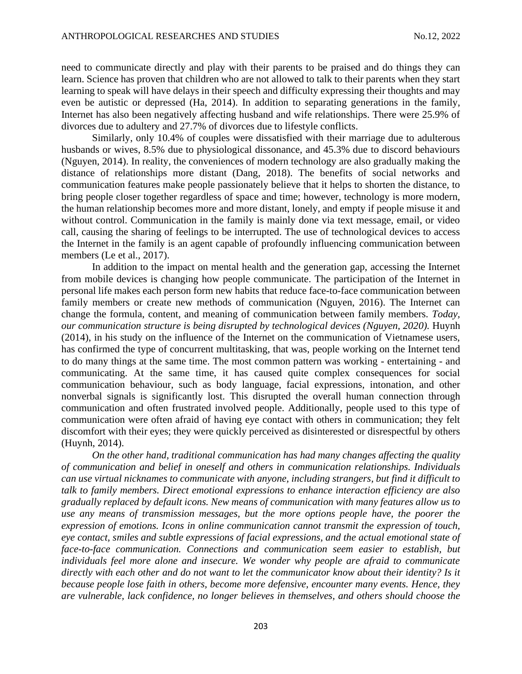need to communicate directly and play with their parents to be praised and do things they can learn. Science has proven that children who are not allowed to talk to their parents when they start learning to speak will have delays in their speech and difficulty expressing their thoughts and may even be autistic or depressed (Ha, 2014). In addition to separating generations in the family, Internet has also been negatively affecting husband and wife relationships. There were 25.9% of divorces due to adultery and 27.7% of divorces due to lifestyle conflicts.

Similarly, only 10.4% of couples were dissatisfied with their marriage due to adulterous husbands or wives, 8.5% due to physiological dissonance, and 45.3% due to discord behaviours (Nguyen, 2014). In reality, the conveniences of modern technology are also gradually making the distance of relationships more distant (Dang, 2018). The benefits of social networks and communication features make people passionately believe that it helps to shorten the distance, to bring people closer together regardless of space and time; however, technology is more modern, the human relationship becomes more and more distant, lonely, and empty if people misuse it and without control. Communication in the family is mainly done via text message, email, or video call, causing the sharing of feelings to be interrupted. The use of technological devices to access the Internet in the family is an agent capable of profoundly influencing communication between members (Le et al., 2017).

In addition to the impact on mental health and the generation gap, accessing the Internet from mobile devices is changing how people communicate. The participation of the Internet in personal life makes each person form new habits that reduce face-to-face communication between family members or create new methods of communication (Nguyen, 2016). The Internet can change the formula, content, and meaning of communication between family members. *Today, our communication structure is being disrupted by technological devices (Nguyen, 2020).* Huynh (2014), in his study on the influence of the Internet on the communication of Vietnamese users, has confirmed the type of concurrent multitasking, that was, people working on the Internet tend to do many things at the same time. The most common pattern was working - entertaining - and communicating. At the same time, it has caused quite complex consequences for social communication behaviour, such as body language, facial expressions, intonation, and other nonverbal signals is significantly lost. This disrupted the overall human connection through communication and often frustrated involved people. Additionally, people used to this type of communication were often afraid of having eye contact with others in communication; they felt discomfort with their eyes; they were quickly perceived as disinterested or disrespectful by others (Huynh, 2014).

*On the other hand, traditional communication has had many changes affecting the quality of communication and belief in oneself and others in communication relationships. Individuals can use virtual nicknames to communicate with anyone, including strangers, but find it difficult to talk to family members. Direct emotional expressions to enhance interaction efficiency are also gradually replaced by default icons. New means of communication with many features allow us to use any means of transmission messages, but the more options people have, the poorer the expression of emotions. Icons in online communication cannot transmit the expression of touch, eye contact, smiles and subtle expressions of facial expressions, and the actual emotional state of face-to-face communication. Connections and communication seem easier to establish, but individuals feel more alone and insecure. We wonder why people are afraid to communicate directly with each other and do not want to let the communicator know about their identity? Is it because people lose faith in others, become more defensive, encounter many events. Hence, they are vulnerable, lack confidence, no longer believes in themselves, and others should choose the*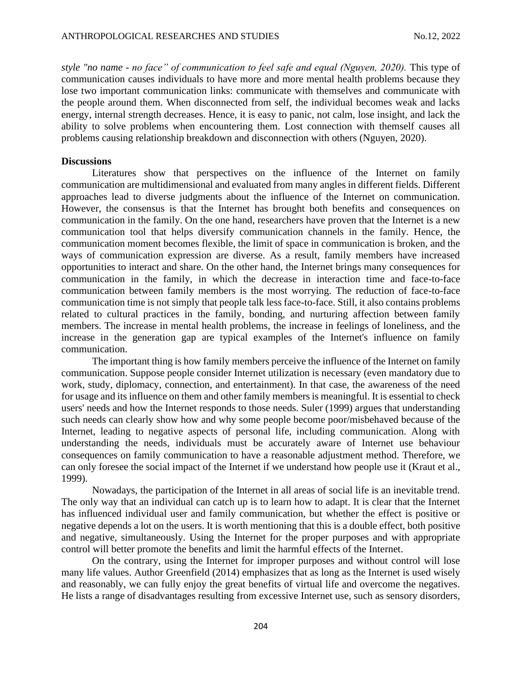*style "no name - no face" of communication to feel safe and equal (Nguyen, 2020).* This type of communication causes individuals to have more and more mental health problems because they lose two important communication links: communicate with themselves and communicate with the people around them. When disconnected from self, the individual becomes weak and lacks energy, internal strength decreases. Hence, it is easy to panic, not calm, lose insight, and lack the ability to solve problems when encountering them. Lost connection with themself causes all problems causing relationship breakdown and disconnection with others (Nguyen, 2020).

### **Discussions**

Literatures show that perspectives on the influence of the Internet on family communication are multidimensional and evaluated from many angles in different fields. Different approaches lead to diverse judgments about the influence of the Internet on communication. However, the consensus is that the Internet has brought both benefits and consequences on communication in the family. On the one hand, researchers have proven that the Internet is a new communication tool that helps diversify communication channels in the family. Hence, the communication moment becomes flexible, the limit of space in communication is broken, and the ways of communication expression are diverse. As a result, family members have increased opportunities to interact and share. On the other hand, the Internet brings many consequences for communication in the family, in which the decrease in interaction time and face-to-face communication between family members is the most worrying. The reduction of face-to-face communication time is not simply that people talk less face-to-face. Still, it also contains problems related to cultural practices in the family, bonding, and nurturing affection between family members. The increase in mental health problems, the increase in feelings of loneliness, and the increase in the generation gap are typical examples of the Internet's influence on family communication.

The important thing is how family members perceive the influence of the Internet on family communication. Suppose people consider Internet utilization is necessary (even mandatory due to work, study, diplomacy, connection, and entertainment). In that case, the awareness of the need for usage and its influence on them and other family members is meaningful. It is essential to check users' needs and how the Internet responds to those needs. Suler (1999) argues that understanding such needs can clearly show how and why some people become poor/misbehaved because of the Internet, leading to negative aspects of personal life, including communication. Along with understanding the needs, individuals must be accurately aware of Internet use behaviour consequences on family communication to have a reasonable adjustment method. Therefore, we can only foresee the social impact of the Internet if we understand how people use it (Kraut et al., 1999).

Nowadays, the participation of the Internet in all areas of social life is an inevitable trend. The only way that an individual can catch up is to learn how to adapt. It is clear that the Internet has influenced individual user and family communication, but whether the effect is positive or negative depends a lot on the users. It is worth mentioning that this is a double effect, both positive and negative, simultaneously. Using the Internet for the proper purposes and with appropriate control will better promote the benefits and limit the harmful effects of the Internet.

On the contrary, using the Internet for improper purposes and without control will lose many life values. Author Greenfield (2014) emphasizes that as long as the Internet is used wisely and reasonably, we can fully enjoy the great benefits of virtual life and overcome the negatives. He lists a range of disadvantages resulting from excessive Internet use, such as sensory disorders,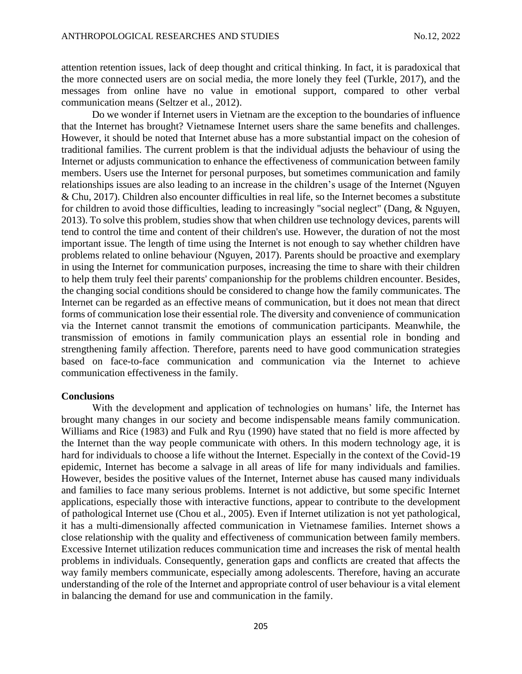attention retention issues, lack of deep thought and critical thinking. In fact, it is paradoxical that the more connected users are on social media, the more lonely they feel (Turkle, 2017), and the messages from online have no value in emotional support, compared to other verbal communication means (Seltzer et al., 2012).

Do we wonder if Internet users in Vietnam are the exception to the boundaries of influence that the Internet has brought? Vietnamese Internet users share the same benefits and challenges. However, it should be noted that Internet abuse has a more substantial impact on the cohesion of traditional families. The current problem is that the individual adjusts the behaviour of using the Internet or adjusts communication to enhance the effectiveness of communication between family members. Users use the Internet for personal purposes, but sometimes communication and family relationships issues are also leading to an increase in the children's usage of the Internet (Nguyen & Chu, 2017). Children also encounter difficulties in real life, so the Internet becomes a substitute for children to avoid those difficulties, leading to increasingly "social neglect" (Dang, & Nguyen, 2013). To solve this problem, studies show that when children use technology devices, parents will tend to control the time and content of their children's use. However, the duration of not the most important issue. The length of time using the Internet is not enough to say whether children have problems related to online behaviour (Nguyen, 2017). Parents should be proactive and exemplary in using the Internet for communication purposes, increasing the time to share with their children to help them truly feel their parents' companionship for the problems children encounter. Besides, the changing social conditions should be considered to change how the family communicates. The Internet can be regarded as an effective means of communication, but it does not mean that direct forms of communication lose their essential role. The diversity and convenience of communication via the Internet cannot transmit the emotions of communication participants. Meanwhile, the transmission of emotions in family communication plays an essential role in bonding and strengthening family affection. Therefore, parents need to have good communication strategies based on face-to-face communication and communication via the Internet to achieve communication effectiveness in the family.

### **Conclusions**

With the development and application of technologies on humans' life, the Internet has brought many changes in our society and become indispensable means family communication. Williams and Rice (1983) and Fulk and Ryu (1990) have stated that no field is more affected by the Internet than the way people communicate with others. In this modern technology age, it is hard for individuals to choose a life without the Internet. Especially in the context of the Covid-19 epidemic, Internet has become a salvage in all areas of life for many individuals and families. However, besides the positive values of the Internet, Internet abuse has caused many individuals and families to face many serious problems. Internet is not addictive, but some specific Internet applications, especially those with interactive functions, appear to contribute to the development of pathological Internet use (Chou et al., 2005). Even if Internet utilization is not yet pathological, it has a multi-dimensionally affected communication in Vietnamese families. Internet shows a close relationship with the quality and effectiveness of communication between family members. Excessive Internet utilization reduces communication time and increases the risk of mental health problems in individuals. Consequently, generation gaps and conflicts are created that affects the way family members communicate, especially among adolescents. Therefore, having an accurate understanding of the role of the Internet and appropriate control of user behaviour is a vital element in balancing the demand for use and communication in the family.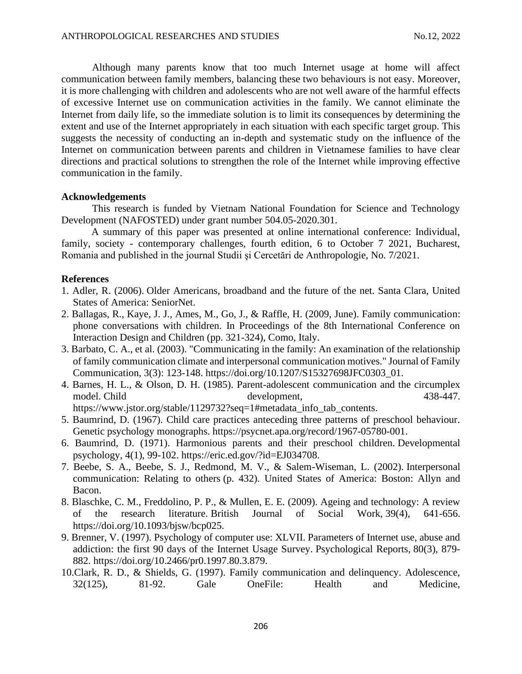Although many parents know that too much Internet usage at home will affect communication between family members, balancing these two behaviours is not easy. Moreover, it is more challenging with children and adolescents who are not well aware of the harmful effects of excessive Internet use on communication activities in the family. We cannot eliminate the Internet from daily life, so the immediate solution is to limit its consequences by determining the extent and use of the Internet appropriately in each situation with each specific target group. This suggests the necessity of conducting an in-depth and systematic study on the influence of the Internet on communication between parents and children in Vietnamese families to have clear directions and practical solutions to strengthen the role of the Internet while improving effective communication in the family.

## **Acknowledgements**

This research is funded by Vietnam National Foundation for Science and Technology Development (NAFOSTED) under grant number 504.05-2020.301.

A summary of this paper was presented at online international conference: Individual, family, society - contemporary challenges, fourth edition, 6 to October 7 2021, Bucharest, Romania and published in the journal Studii şi Cercetări de Anthropologie, No. 7/2021.

### **References**

- 1. Adler, R. (2006). Older Americans, broadband and the future of the net. Santa Clara, United States of America: SeniorNet.
- 2. Ballagas, R., Kaye, J. J., Ames, M., Go, J., & Raffle, H. (2009, June). Family communication: phone conversations with children. In Proceedings of the 8th International Conference on Interaction Design and Children (pp. 321-324), Como, Italy.
- 3. Barbato, C. A., et al. (2003). "Communicating in the family: An examination of the relationship of family communication climate and interpersonal communication motives." Journal of Family Communication, 3(3): 123-148. https://doi.org/10.1207/S15327698JFC0303\_01.
- 4. Barnes, H. L., & Olson, D. H. (1985). Parent-adolescent communication and the circumplex model. Child development, and the development, and the 438-447.

https://www.jstor.org/stable/1129732?seq=1#metadata\_info\_tab\_contents.

- 5. Baumrind, D. (1967). Child care practices anteceding three patterns of preschool behaviour. Genetic psychology monographs. https://psycnet.apa.org/record/1967-05780-001.
- 6. Baumrind, D. (1971). Harmonious parents and their preschool children. Developmental psychology, 4(1), 99-102. https://eric.ed.gov/?id=EJ034708.
- 7. Beebe, S. A., Beebe, S. J., Redmond, M. V., & Salem-Wiseman, L. (2002). Interpersonal communication: Relating to others (p. 432). United States of America: Boston: Allyn and Bacon.
- 8. Blaschke, C. M., Freddolino, P. P., & Mullen, E. E. (2009). Ageing and technology: A review of the research literature. British Journal of Social Work, 39(4), 641-656. https://doi.org/10.1093/bjsw/bcp025.
- 9. Brenner, V. (1997). Psychology of computer use: XLVII. Parameters of Internet use, abuse and addiction: the first 90 days of the Internet Usage Survey. Psychological Reports, 80(3), 879- 882. https://doi.org/10.2466/pr0.1997.80.3.879.
- 10.Clark, R. D., & Shields, G. (1997). Family communication and delinquency. Adolescence, 32(125), 81-92. Gale OneFile: Health and Medicine,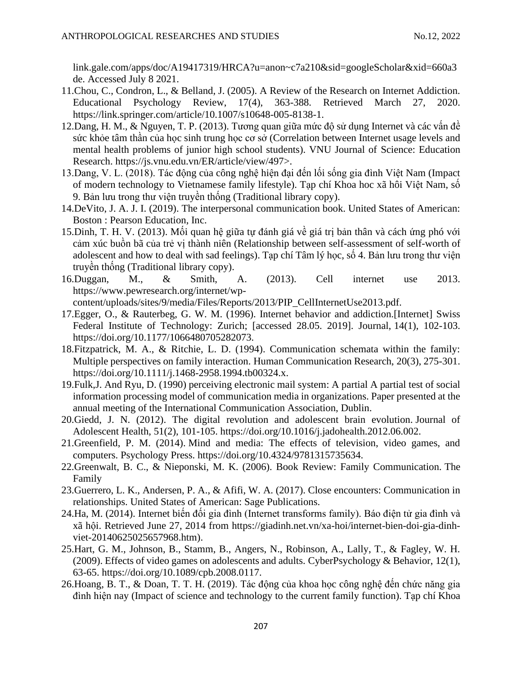link.gale.com/apps/doc/A19417319/HRCA?u=anon~c7a210&sid=googleScholar&xid=660a3 de. Accessed July 8 2021.

- 11.Chou, C., Condron, L., & Belland, J. (2005). A Review of the Research on Internet Addiction. Educational Psychology Review, 17(4), 363-388. Retrieved March 27, 2020. https://link.springer.com/article/10.1007/s10648-005-8138-1.
- 12.Dang, H. M., & Nguyen, T. P. (2013). Tương quan giữa mức độ sử dụng Internet và các vấn đề sức khỏe tâm thần của học sinh trung học cơ sở (Correlation between Internet usage levels and mental health problems of junior high school students). VNU Journal of Science: Education Research. https://js.vnu.edu.vn/ER/article/view/497>.
- 13.Dang, V. L. (2018). Tác động của công nghệ hiện đại đến lối sống gia đình Việt Nam (Impact of modern technology to Vietnamese family lifestyle). Tạp chí Khoa hoc xã hôi Việt Nam, số 9. Bản lưu trong thư viện truyền thống (Traditional library copy).
- 14.DeVito, J. A. J. I. (2019). The interpersonal communication book. United States of American: Boston : Pearson Education, Inc.
- 15.Dinh, T. H. V. (2013). Mối quan hệ giữa tự đánh giá về giá trị bản thân và cách ứng phó với cảm xúc buồn bã của trẻ vị thành niên (Relationship between self-assessment of self-worth of adolescent and how to deal with sad feelings). Tạp chí Tâm lý học, số 4. Bản lưu trong thư viện truyền thống (Traditional library copy).
- 16.Duggan, M., & Smith, A. (2013). Cell internet use 2013. https://www.pewresearch.org/internet/wp-

content/uploads/sites/9/media/Files/Reports/2013/PIP\_CellInternetUse2013.pdf.

- 17.Egger, O., & Rauterbeg, G. W. M. (1996). Internet behavior and addiction.[Internet] Swiss Federal Institute of Technology: Zurich; [accessed 28.05. 2019]. Journal, 14(1), 102-103. https://doi.org/10.1177/1066480705282073.
- 18.Fitzpatrick, M. A., & Ritchie, L. D. (1994). Communication schemata within the family: Multiple perspectives on family interaction. Human Communication Research, 20(3), 275-301. [https://doi.org/10.1111/j.1468-2958.1994.tb00324.x.](https://doi.org/10.1111/j.1468-2958.1994.tb00324.x)
- 19.Fulk,J. And Ryu, D. (1990) perceiving electronic mail system: A partial A partial test of social information processing model of communication media in organizations. Paper presented at the annual meeting of the International Communication Association, Dublin.
- 20.Giedd, J. N. (2012). The digital revolution and adolescent brain evolution. Journal of Adolescent Health, 51(2), 101-105. https://doi.org/10.1016/j.jadohealth.2012.06.002.
- 21.Greenfield, P. M. (2014). Mind and media: The effects of television, video games, and computers. Psychology Press. https://doi.org/10.4324/9781315735634.
- 22.Greenwalt, B. C., & Nieponski, M. K. (2006). Book Review: Family Communication. The Family
- 23.Guerrero, L. K., Andersen, P. A., & Afifi, W. A. (2017). Close encounters: Communication in relationships. United States of American: Sage Publications.
- 24.Ha, M. (2014). Internet biến đối gia đình (Internet transforms family). Báo điện tử gia đình và xã hội. Retrieved June 27, 2014 from https://giadinh.net.vn/xa-hoi/internet-bien-doi-gia-dinhviet-20140625025657968.htm).
- 25.Hart, G. M., Johnson, B., Stamm, B., Angers, N., Robinson, A., Lally, T., & Fagley, W. H. (2009). Effects of video games on adolescents and adults. CyberPsychology & Behavior, 12(1), 63-65. https://doi.org/10.1089/cpb.2008.0117.
- 26.Hoang, B. T., & Doan, T. T. H. (2019). Tác động của khoa học công nghệ đến chức năng gia đình hiện nay (Impact of science and technology to the current family function). Tạp chí Khoa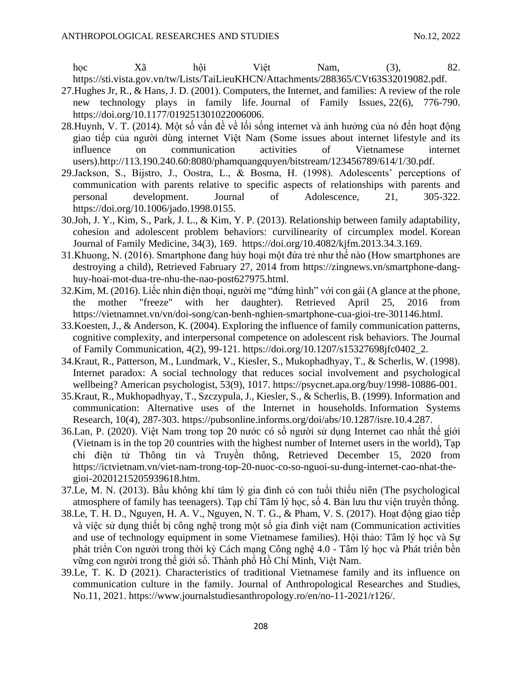học Xã hội Việt Nam, (3), 82. https://sti.vista.gov.vn/tw/Lists/TaiLieuKHCN/Attachments/288365/CVt63S32019082.pdf.

- 27.Hughes Jr, R., & Hans, J. D. (2001). Computers, the Internet, and families: A review of the role new technology plays in family life. Journal of Family Issues, 22(6), 776-790. https://doi.org/10.1177/019251301022006006.
- 28.Huynh, V. T. (2014). Một số vấn đề về lối sống internet và ảnh hưởng của nó đến hoạt động giao tiếp của người dùng internet Việt Nam (Some issues about internet lifestyle and its influence on communication activities of Vietnamese internet users).http://113.190.240.60:8080/phamquangquyen/bitstream/123456789/614/1/30.pdf.
- 29.Jackson, S., Bijstro, J., Oostra, L., & Bosma, H. (1998). Adolescents' perceptions of communication with parents relative to specific aspects of relationships with parents and personal development. Journal of Adolescence, 21, 305-322. https://doi.org/10.1006/jado.1998.0155.
- 30.Joh, J. Y., Kim, S., Park, J. L., & Kim, Y. P. (2013). Relationship between family adaptability, cohesion and adolescent problem behaviors: curvilinearity of circumplex model. Korean Journal of Family Medicine, 34(3), 169. https://doi.org/10.4082/kjfm.2013.34.3.169.
- 31.Khuong, N. (2016). Smartphone đang hủy hoại một đứa trẻ như thế nào (How smartphones are destroying a child), Retrieved Fabruary 27, 2014 from https://zingnews.vn/smartphone-danghuy-hoai-mot-dua-tre-nhu-the-nao-post627975.html.
- 32.Kim, M. (2016). Liếc nhìn điện thoại, người mẹ "đứng hình" với con gái (A glance at the phone, the mother "freeze" with her daughter). Retrieved April 25, 2016 from https://vietnamnet.vn/vn/doi-song/can-benh-nghien-smartphone-cua-gioi-tre-301146.html.
- 33.Koesten, J., & Anderson, K. (2004). Exploring the influence of family communication patterns, cognitive complexity, and interpersonal competence on adolescent risk behaviors. The Journal of Family Communication, 4(2), 99-121. https://doi.org/10.1207/s15327698jfc0402\_2.
- 34.Kraut, R., Patterson, M., Lundmark, V., Kiesler, S., Mukophadhyay, T., & Scherlis, W. (1998). Internet paradox: A social technology that reduces social involvement and psychological wellbeing? American psychologist, 53(9), 1017. https://psycnet.apa.org/buy/1998-10886-001.
- 35.Kraut, R., Mukhopadhyay, T., Szczypula, J., Kiesler, S., & Scherlis, B. (1999). Information and communication: Alternative uses of the Internet in households. Information Systems Research, 10(4), 287-303. https://pubsonline.informs.org/doi/abs/10.1287/isre.10.4.287.
- 36.Lan, P. (2020). Việt Nam trong top 20 nước có số người sử dụng Internet cao nhất thế giới (Vietnam is in the top 20 countries with the highest number of Internet users in the world), Tạp chí điện tử Thông tin và Truyền thông, Retrieved December 15, 2020 from https://ictvietnam.vn/viet-nam-trong-top-20-nuoc-co-so-nguoi-su-dung-internet-cao-nhat-thegioi-20201215205939618.htm.
- 37.Le, M. N. (2013). Bầu không khí tâm lý gia đình có con tuổi thiếu niên (The psychological atmosphere of family has teenagers). Tạp chí Tâm lý học, số 4. Bản lưu thư viên truyền thống.
- 38.Le, T. H. D., Nguyen, H. A. V., Nguyen, N. T. G., & Pham, V. S. (2017). Hoạt động giao tiếp và việc sử dụng thiết bị công nghệ trong một số gia đình việt nam (Communication activities and use of technology equipment in some Vietnamese families). Hội thảo: Tâm lý học và Sự phát triển Con người trong thời kỳ Cách mạng Công nghệ 4.0 - Tâm lý học và Phát triển bền vững con người trong thế giới số. Thành phố Hồ Chí Minh, Việt Nam.
- 39.Le, T. K. D (2021). Characteristics of traditional Vietnamese family and its influence on communication culture in the family. Journal of Anthropological Researches and Studies, No.11, 2021. https://www.journalstudiesanthropology.ro/en/no-11-2021/r126/.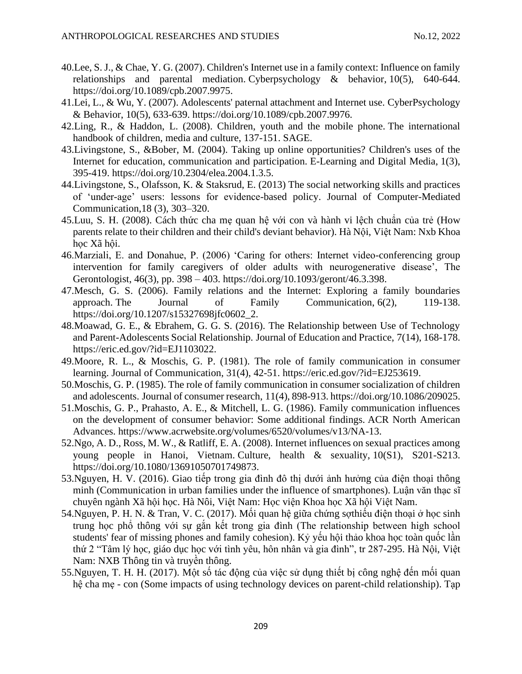- 40.Lee, S. J., & Chae, Y. G. (2007). Children's Internet use in a family context: Influence on family relationships and parental mediation. Cyberpsychology & behavior, 10(5), 640-644. https://doi.org/10.1089/cpb.2007.9975.
- 41.Lei, L., & Wu, Y. (2007). Adolescents' paternal attachment and Internet use. CyberPsychology & Behavior, 10(5), 633-639. https://doi.org/10.1089/cpb.2007.9976.
- 42.Ling, R., & Haddon, L. (2008). Children, youth and the mobile phone. The international handbook of children, media and culture, 137-151. SAGE.
- 43.Livingstone, S., &Bober, M. (2004). Taking up online opportunities? Children's uses of the Internet for education, communication and participation. E-Learning and Digital Media, 1(3), 395-419. https://doi.org/10.2304/elea.2004.1.3.5.
- 44.Livingstone, S., Olafsson, K. & Staksrud, E. (2013) The social networking skills and practices of 'under-age' users: lessons for evidence-based policy. Journal of Computer-Mediated Communication,18 (3), 303–320.
- 45.Luu, S. H. (2008). Cách thức cha mẹ quan hệ với con và hành vi lệch chuẩn của trẻ (How parents relate to their children and their child's deviant behavior). Hà Nội, Việt Nam: Nxb Khoa học Xã hội.
- 46.Marziali, E. and Donahue, P. (2006) 'Caring for others: Internet video-conferencing group intervention for family caregivers of older adults with neurogenerative disease', The Gerontologist, 46(3), pp. 398 – 403. https://doi.org/10.1093/geront/46.3.398.
- 47.Mesch, G. S. (2006). Family relations and the Internet: Exploring a family boundaries approach. The Journal of Family Communication, 6(2), 119-138. https://doi.org/10.1207/s15327698jfc0602\_2.
- 48.Moawad, G. E., & Ebrahem, G. G. S. (2016). The Relationship between Use of Technology and Parent-Adolescents Social Relationship. Journal of Education and Practice, 7(14), 168-178. https://eric.ed.gov/?id=EJ1103022.
- 49.Moore, R. L., & Moschis, G. P. (1981). The role of family communication in consumer learning. Journal of Communication, 31(4), 42-51. https://eric.ed.gov/?id=EJ253619.
- 50.Moschis, G. P. (1985). The role of family communication in consumer socialization of children and adolescents. Journal of consumer research, 11(4), 898-913. https://doi.org/10.1086/209025.
- 51.Moschis, G. P., Prahasto, A. E., & Mitchell, L. G. (1986). Family communication influences on the development of consumer behavior: Some additional findings. ACR North American Advances. https://www.acrwebsite.org/volumes/6520/volumes/v13/NA-13.
- 52.Ngo, A. D., Ross, M. W., & Ratliff, E. A. (2008). Internet influences on sexual practices among young people in Hanoi, Vietnam. Culture, health & sexuality, 10(S1), S201-S213. https://doi.org/10.1080/13691050701749873.
- 53.Nguyen, H. V. (2016). Giao tiếp trong gia đình đô thị dưới ảnh hưởng của điện thoại thông minh (Communication in urban families under the influence of smartphones). Luận văn thạc sĩ chuyên ngành Xã hội học. Hà Nôi, Việt Nam: Học viện Khoa học Xã hội Việt Nam.
- 54.Nguyen, P. H. N. & Tran, V. C. (2017). Mối quan hệ giữa chứng sợthiếu điện thoại ở học sinh trung học phổ thông với sự gắn kết trong gia đình (The relationship between high school students' fear of missing phones and family cohesion). Kỷ yếu hội thảo khoa học toàn quốc lần thứ 2 "Tâm lý học, giáo dục học với tình yêu, hôn nhân và gia đình", tr 287-295. Hà Nội, Việt Nam: NXB Thông tin và truyền thông.
- 55.Nguyen, T. H. H. (2017). Một số tác động của việc sử dụng thiết bị công nghệ đến mối quan hệ cha mẹ - con (Some impacts of using technology devices on parent-child relationship). Tạp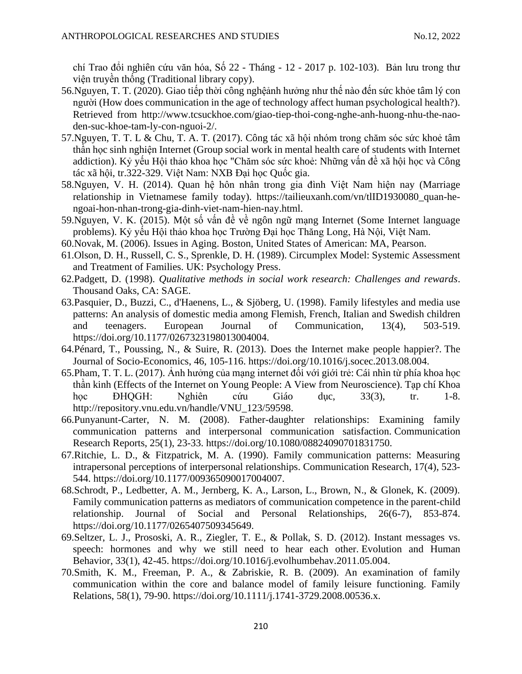chí Trao đổi nghiên cứu văn hóa, Số 22 - Tháng - 12 - 2017 p. 102-103). Bản lưu trong thư viện truyền thống (Traditional library copy).

- 56.Nguyen, T. T. (2020). Giao tiếp thời công nghệảnh hưởng như thế nào đến sức khỏe tâm lý con người (How does communication in the age of technology affect human psychological health?). Retrieved from http://www.tcsuckhoe.com/giao-tiep-thoi-cong-nghe-anh-huong-nhu-the-naoden-suc-khoe-tam-ly-con-nguoi-2/.
- 57.Nguyen, T. T. L & Chu, T. A. T. (2017). Công tác xã hội nhóm trong chăm sóc sức khoẻ tâm thần học sinh nghiện Internet (Group social work in mental health care of students with Internet addiction). Kỷ yếu Hội thảo khoa học "Chăm sóc sức khoẻ: Những vấn đề xã hội học và Công tác xã hội, tr.322-329. Việt Nam: NXB Đại học Quốc gia.
- 58.Nguyen, V. H. (2014). Quan hệ hôn nhân trong gia đình Việt Nam hiện nay (Marriage relationship in Vietnamese family today). https://tailieuxanh.com/vn/tlID1930080\_quan-hengoai-hon-nhan-trong-gia-dinh-viet-nam-hien-nay.html.
- 59.Nguyen, V. K. (2015). Một số vấn đề về ngôn ngữ mạng Internet (Some Internet language problems). Kỷ yếu Hội thảo khoa học Trường Đại học Thăng Long, Hà Nội, Việt Nam.
- 60.Novak, M. (2006). Issues in Aging. Boston, United States of American: MA, Pearson.
- 61.Olson, D. H., Russell, C. S., Sprenkle, D. H. (1989). Circumplex Model: Systemic Assessment and Treatment of Families. UK: Psychology Press.
- 62.Padgett, D. (1998). *Qualitative methods in social work research: Challenges and rewards*. Thousand Oaks, CA: SAGE.
- 63.Pasquier, D., Buzzi, C., d'Haenens, L., & Sjöberg, U. (1998). Family lifestyles and media use patterns: An analysis of domestic media among Flemish, French, Italian and Swedish children and teenagers. European Journal of Communication, 13(4), 503-519. https://doi.org/10.1177/0267323198013004004.
- 64.Pénard, T., Poussing, N., & Suire, R. (2013). Does the Internet make people happier?. The Journal of Socio-Economics, 46, 105-116. https://doi.org/10.1016/j.socec.2013.08.004.
- 65.Pham, T. T. L. (2017). Ảnh hưởng của mạng internet đối với giới trẻ: Cái nhìn từ phía khoa học thần kinh (Effects of the Internet on Young People: A View from Neuroscience). Tạp chí Khoa học ĐHQGH: Nghiên cứu Giáo dục, 33(3), tr. 1-8. http://repository.vnu.edu.vn/handle/VNU\_123/59598.
- 66.Punyanunt-Carter, N. M. (2008). Father-daughter relationships: Examining family communication patterns and interpersonal communication satisfaction. Communication Research Reports, 25(1), 23-33. https://doi.org/10.1080/08824090701831750.
- 67.Ritchie, L. D., & Fitzpatrick, M. A. (1990). Family communication patterns: Measuring intrapersonal perceptions of interpersonal relationships. Communication Research, 17(4), 523- 544. [https://doi.org/10.1177/009365090017004007.](https://doi.org/10.1177/009365090017004007)
- 68.Schrodt, P., Ledbetter, A. M., Jernberg, K. A., Larson, L., Brown, N., & Glonek, K. (2009). Family communication patterns as mediators of communication competence in the parent-child relationship. Journal of Social and Personal Relationships, 26(6-7), 853-874. https://doi.org/10.1177/0265407509345649.
- 69.Seltzer, L. J., Prososki, A. R., Ziegler, T. E., & Pollak, S. D. (2012). Instant messages vs. speech: hormones and why we still need to hear each other. Evolution and Human Behavior, 33(1), 42-45. https://doi.org/10.1016/j.evolhumbehav.2011.05.004.
- 70.Smith, K. M., Freeman, P. A., & Zabriskie, R. B. (2009). An examination of family communication within the core and balance model of family leisure functioning. Family Relations, 58(1), 79-90. https://doi.org/10.1111/j.1741-3729.2008.00536.x.